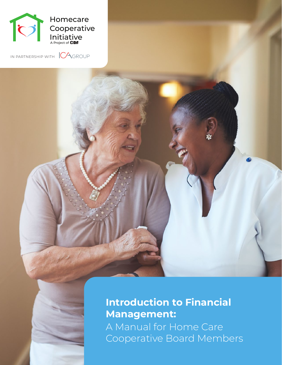

IN PARTNERSHIP WITH  $\sqrt{\sqrt{2}}$ GROUP

# **Introduction to Financial Management:**  A Manual for Home Care Cooperative Board Members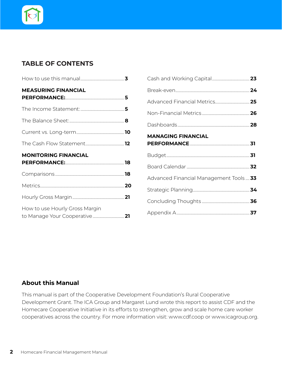# **TABLE OF CONTENTS**

| <b>MEASURING FINANCIAL</b>  |  |
|-----------------------------|--|
|                             |  |
|                             |  |
|                             |  |
|                             |  |
| <b>MONITORING FINANCIAL</b> |  |
|                             |  |
|                             |  |
|                             |  |
|                             |  |

| <b>MANAGING FINANCIAL</b>               |  |
|-----------------------------------------|--|
|                                         |  |
|                                         |  |
| Advanced Financial Management Tools  33 |  |
|                                         |  |
|                                         |  |
|                                         |  |

# **About this Manual**

This manual is part of the Cooperative Development Foundation's Rural Cooperative Development Grant. The ICA Group and Margaret Lund wrote this report to assist CDF and the Homecare Cooperative Initiative in its efforts to strengthen, grow and scale home care worker cooperatives across the country. For more information visit: www.cdf.coop or www.icagroup.org.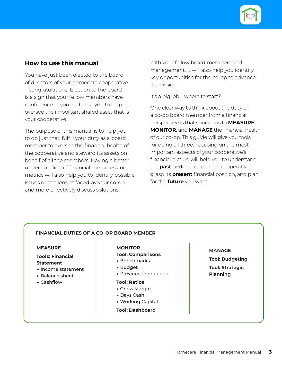

## **How to use this manual**

You have just been elected to the board of directors of your homecare cooperative – congratulations! Election to the board is a sign that your fellow members have confidence in you and trust you to help oversee the important shared asset that is your cooperative.

The purpose of this manual is to help you to do just that: fulfill your duty as a board member to oversee the financial health of the cooperative and steward its assets on behalf of all the members. Having a better understanding of financial measures and metrics will also help you to identify possible issues or challenges faced by your co-op, and more effectively discuss solutions

with your fellow board members and management. It will also help you identify key opportunities for the co-op to advance its mission.

It's a big job – where to start?

One clear way to think about the duty of a co-op board member from a financial perspective is that your job is to **MEASURE**, **MONITOR**, and **MANAGE** the financial health of our co-op. This guide will give you tools for doing all three. Focusing on the most important aspects of your cooperative's financial picture will help you to understand the **past** performance of the cooperative, grasp its **present** financial position, and plan for the **future** you want.

### **FINANCIAL DUTIES OF A CO-OP BOARD MEMBER**

#### **MEASURE**

### **Tools: Financial Statement**

- ▶ Income statement
- ▶ Balance sheet
- ▶ Cashflow

#### **MONITOR**

#### **Tool: Comparisons**

- ‣ Benchmarks
- ‣ Budget
- ‣ Previous time period

#### **Tool: Ratios**

- ‣ Gross Margin
- ‣ Days Cash
- ‣ Working Capital
- **Tool: Dashboard**

# **MANAGE**

**Tool: Budgeting Tool: Strategic** 

**Planning**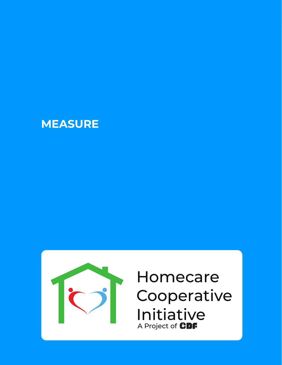# **MEASURE**



# Homecare Cooperative Initiative A Project of CDF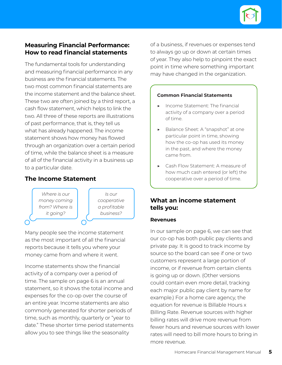

# **Measuring Financial Performance: How to read financial statements**

The fundamental tools for understanding and measuring financial performance in any business are the financial statements. The two most common financial statements are the income statement and the balance sheet. These two are often joined by a third report, a cash flow statement, which helps to link the two. All three of these reports are illustrations of past performance, that is, they tell us what has already happened. The income statement shows how money has flowed through an organization over a certain period of time, while the balance sheet is a measure of all of the financial activity in a business up to a particular date.

# **The Income Statement**



Many people see the income statement as the most important of all the financial reports because it tells you where your money came from and where it went.

Income statements show the financial activity of a company over a period of time. The sample on page 6 is an annual statement, so it shows the total income and expenses for the co-op over the course of an entire year. Income statements are also commonly generated for shorter periods of time, such as monthly, quarterly or "year to date." These shorter time period statements allow you to see things like the seasonality

of a business, if revenues or expenses tend to always go up or down at certain times of year. They also help to pinpoint the exact point in time where something important may have changed in the organization.

### **Common Financial Statements**

- ▶ Income Statement: The financial activity of a company over a period of time.
- ▶ Balance Sheet: A "snapshot" at one particular point in time, showing how the co-op has used its money in the past, and where the money came from.
- Cash Flow Statement: A measure of how much cash entered (or left) the cooperative over a period of time.

# **What an income statement tells you:**

### **Revenues**

In our sample on page 6, we can see that our co-op has both public pay clients and private pay. It is good to track income by source so the board can see if one or two customers represent a large portion of income, or if revenue from certain clients is going up or down. (Other versions could contain even more detail, tracking each major public pay client by name for example.) For a home care agency, the equation for revenue is Billable Hours x Billing Rate. Revenue sources with higher billing rates will drive more revenue from fewer hours and revenue sources with lower rates will need to bill more hours to bring in more revenue.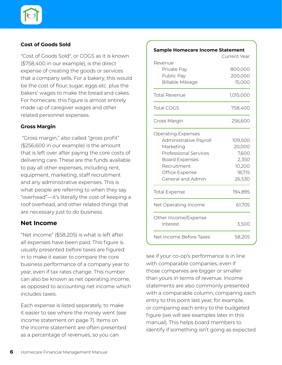### **Cost of Goods Sold**

"Cost of Goods Sold", or COGS as it is known (\$758,400 in our example), is the direct expense of creating the goods or services that a company sells. For a bakery, this would be the cost of flour, sugar, eggs etc. plus the bakers' wages to make the bread and cakes. For homecare, this figure is almost entirely made up of caregiver wages and other related personnel expenses.

### **Gross Margin**

 "Gross margin," also called "gross profit" (\$256,600 in our example) is the amount that is left over after paying the core costs of delivering care. These are the funds available to pay all other expenses, including rent, equipment, marketing, staff recruitment and any administrative expenses. This is what people are referring to when they say "overhead"—it's literally the cost of keeping a roof overhead, and other related things that are necessary just to do business.

### **Net Income**

"Net income" (\$58,205) is what is left after all expenses have been paid. This figure is usually presented before taxes are figured in to make it easier to compare the core business performance of a company year to year, even if tax rates change. This number can also be known as net operating income, as opposed to accounting net income which includes taxes.

Each expense is listed separately, to make it easier to see where the money went (see income statement on page 7). Items on the income statement are often presented as a percentage of revenues, so you can

### **Sample Homecare Income Statement**

|                                       | Current Year      |
|---------------------------------------|-------------------|
| Revenue                               |                   |
| Private Pay                           | 800,000           |
| Public Pay<br><b>Billable Mileage</b> | 200,000<br>15,000 |
|                                       |                   |
| <b>Total Revenue</b>                  | 1,015,000         |
| <b>Total COGS</b>                     | 758,400           |
| Gross Margin                          | 256,600           |
| <b>Operating Expenses</b>             |                   |
| Administrative Payroll                | 109,500           |
| Marketing                             | 20,000            |
| <b>Professional Services</b>          | 7,600             |
| <b>Board Expenses</b>                 | 2,350             |
| Recruitment                           | 10,200            |
| Office Expense                        | 18,715            |
| General and Admin                     | 26,530            |
| <b>Total Expense</b>                  | 194,895           |
| Net Operating Income                  | 61,705            |
| Other Income/Expense                  |                   |
| Interest                              | 3,500             |
| Net Income Before Taxes               | 58,205            |

see if your co-op's performance is in line with comparable companies, even if those companies are bigger or smaller than yours in terms of revenue. Income statements are also commonly presented with a comparable column, comparing each entry to this point last year, for example, or comparing each entry to the budgeted figure (we will see examples later in this manual). This helps board members to identify if something isn't going as expected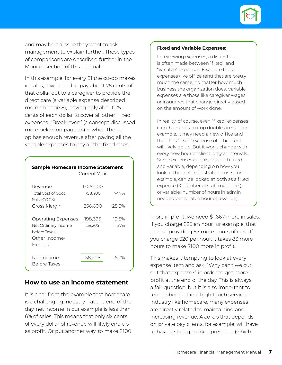

and may be an issue they want to ask management to explain further. These types of comparisons are described further in the Monitor section of this manual.

In this example, for every \$1 the co-op makes in sales, it will need to pay about 75 cents of that dollar out to a caregiver to provide the direct care (a variable expense described more on page 8), leaving only about 25 cents of each dollar to cover all other "fixed" expenses. "Break-even" (a concept discussed more below on page 24) is when the coop has enough revenue after paying all the variable expenses to pay all the fixed ones.

| Sample Homecare Income Statement                                                      | Current Year                    |               |
|---------------------------------------------------------------------------------------|---------------------------------|---------------|
| Revenue<br>Total Cost of Good<br>Sold (COGS)<br>Gross Margin                          | 1,015,000<br>758,400<br>256,600 | 747%<br>25.3% |
| Operating Expenses<br>Net Ordinary Income<br>before Taxes<br>Other Income/<br>Expense | 198,395<br>58,205               | 19.5%<br>57%  |
| Net Income<br>Before Taxes                                                            | 58,205                          | 57%           |

### **How to use an income statement**

It is clear from the example that homecare is a challenging industry – at the end of the day, net income in our example is less than 6% of sales. This means that only six cents of every dollar of revenue will likely end up as profit. Or put another way, to make \$100

### **Fixed and Variable Expenses:**

In reviewing expenses, a distinction is often made between "fixed" and "variable" expenses. Fixed are those expenses (like office rent) that are pretty much the same, no matter how much business the organization does. Variable expenses are those like caregiver wages or insurance that change directly based on the amount of work done.

In reality, of course, even "fixed" expenses can change. If a co-op doubles in size, for example, it may need a new office and then this "fixed" expense of office rent will likely go up. But it won't change with every new hour or client, only at intervals. Some expenses can also be both fixed and variable, depending o n how you look at them. Administration costs, for example, can be looked at both as a fixed expense (X number of staff members), or variable (number of hours in admin needed per billable hour of revenue).

more in profit, we need \$1,667 more in sales. If you charge \$25 an hour for example, that means providing 67 more hours of care. If you charge \$20 per hour, it takes 83 more hours to make \$100 more in profit.

This makes it tempting to look at every expense item and ask, "Why can't we cut out that expense?" in order to get more profit at the end of the day. This is always a fair question, but it is also important to remember that in a high touch service industry like homecare, many expenses are directly related to maintaining and increasing revenue. A co-op that depends on private pay clients, for example, will have to have a strong market presence (which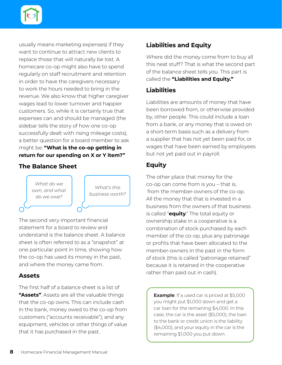

usually means marketing expenses) if they want to continue to attract new clients to replace those that will naturally be lost. A homecare co-op might also have to spend regularly on staff recruitment and retention in order to have the caregivers necessary to work the hours needed to bring in the revenue. We also know that higher caregiver wages lead to lower turnover and happier customers. So, while it is certainly true that expenses can and should be managed (the sidebar tells the story of how one co-op successfully dealt with rising mileage costs), a better question for a board member to ask might be: **"What is the co-op getting in return for our spending on X or Y item?"**

# **The Balance Sheet**

*What do we own, and what do we owe?*

*What's this business worth?*

The second very important financial statement for a board to review and understand is the balance sheet. A balance sheet is often referred to as a "snapshot" at one particular point in time, showing how the co-op has used its money in the past, and where the money came from.

# **Assets**

The first half of a balance sheet is a list of **"Assets"**. Assets are all the valuable things that the co-op owns. This can include cash in the bank, money owed to the co-op from customers ("accounts receivable"), and any equipment, vehicles or other things of value that it has purchased in the past.

# **Liabilities and Equity**

Where did the money come from to buy all this neat stuff? That is what the second part of the balance sheet tells you. This part is called the **"Liabilities and Equity."** 

# **Liabilities**

Liabilities are amounts of money that have been borrowed from, or otherwise provided by, other people. This could include a loan from a bank, or any money that is owed on a short-term basis such as a delivery from a supplier that has not yet been paid for, or wages that have been earned by employees but not yet paid out in payroll.

# **Equity**

The other place that money for the co-op can come from is you – that is, from the member-owners of the co-op. All the money that that is invested in a business from the owners of that business is called "**equity**." The total equity or ownership stake in a cooperative is a combination of stock purchased by each member of the co-op, plus any patronage or profits that have been allocated to the member-owners in the past in the form of stock (this is called "patronage retained" because it is retained in the cooperative rather than paid out in cash).

**Example**: If a used car is priced at \$5,000 you might put \$1,000 down and get a car loan for the remaining \$4,000. In this case, the car is the asset (\$5,000), the loan to the bank or credit union is the liability (\$4,000), and your equity in the car is the remaining \$1,000 you put down.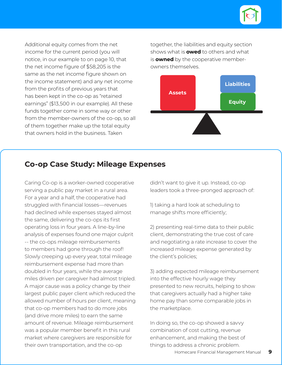

Additional equity comes from the net income for the current period (you will notice, in our example to on page 10, that the net income figure of \$58,205 is the same as the net income figure shown on the income statement) and any net income from the profits of previous years that has been kept in the co-op as "retained earnings" (\$13,500 in our example). All these funds together come in some way or other from the member-owners of the co-op, so all of them together make up the total equity that owners hold in the business. Taken

together, the liabilities and equity section shows what is **owed** to others and what is **owned** by the cooperative memberowners themselves.



# **Co-op Case Study: Mileage Expenses**

Caring Co-op is a worker-owned cooperative serving a public pay market in a rural area. For a year and a half, the cooperative had struggled with financial losses—revenues had declined while expenses stayed almost the same, delivering the co-ops its first operating loss in four years. A line-by-line analysis of expenses found one major culprit -- the co-ops mileage reimbursements to members had gone through the roof! Slowly creeping up every year, total mileage reimbursement expense had more than doubled in four years, while the average miles driven per caregiver had almost tripled. A major cause was a policy change by their largest public payer client which reduced the allowed number of hours per client, meaning that co-op members had to do more jobs (and drive more miles) to earn the same amount of revenue. Mileage reimbursement was a popular member benefit in this rural market where caregivers are responsible for their own transportation, and the co-op

didn't want to give it up. Instead, co-op leaders took a three-pronged approach of:

1) taking a hard look at scheduling to manage shifts more efficiently;

2) presenting real-time data to their public client, demonstrating the true cost of care and negotiating a rate increase to cover the increased mileage expense generated by the client's policies;

3) adding expected mileage reimbursement into the effective hourly wage they presented to new recruits, helping to show that caregivers actually had a higher take home pay than some comparable jobs in the marketplace.

In doing so, the co-op showed a savvy combination of cost cutting, revenue enhancement, and making the best of things to address a chronic problem.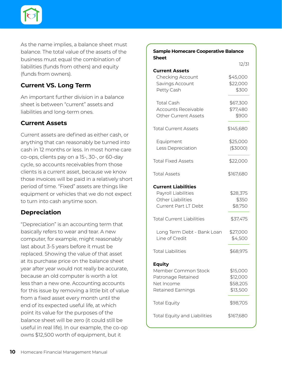

As the name implies, a balance sheet must balance. The total value of the assets of the business must equal the combination of liabilities (funds from others) and equity (funds from owners).

# **Current VS. Long Term**

An important further division in a balance sheet is between "current" assets and liabilities and long-term ones.

# **Current Assets**

Current assets are defined as either cash, or anything that can reasonably be turned into cash in 12 months or less. In most home care co-ops, clients pay on a 15-, 30-, or 60-day cycle, so accounts receivables from those clients is a current asset, because we know those invoices will be paid in a relatively short period of time. "Fixed" assets are things like equipment or vehicles that we do not expect to turn into cash anytime soon.

# **Depreciation**

"Depreciation" is an accounting term that basically refers to wear and tear. A new computer, for example, might reasonably last about 3-5 years before it must be replaced. Showing the value of that asset at its purchase price on the balance sheet year after year would not really be accurate, because an old computer is worth a lot less than a new one. Accounting accounts for this issue by removing a little bit of value from a fixed asset every month until the end of its expected useful life, at which point its value for the purposes of the balance sheet will be zero (it could still be useful in real life). In our example, the co-op owns \$12,500 worth of equipment, but it

| <b>Sample Homecare Cooperative Balance</b><br><b>Sheet</b>                                                                                                  |                                                                       |  |
|-------------------------------------------------------------------------------------------------------------------------------------------------------------|-----------------------------------------------------------------------|--|
|                                                                                                                                                             | 12/31                                                                 |  |
| <b>Current Assets</b><br>Checking Account<br>Savings Account<br>Petty Cash                                                                                  | \$45,000<br>\$22,000<br>\$300                                         |  |
| <b>Total Cash</b><br><b>Accounts Receivable</b><br><b>Other Current Assets</b>                                                                              | \$67,300<br>\$77,480<br>\$900                                         |  |
| <b>Total Current Assets</b>                                                                                                                                 | \$145,680                                                             |  |
| Equipment<br>Less Depreciation                                                                                                                              | \$25,000<br>(\$3000)                                                  |  |
| <b>Total Fixed Assets</b>                                                                                                                                   | \$22,000                                                              |  |
| <b>Total Assets</b>                                                                                                                                         | \$167,680                                                             |  |
| <b>Current Liabilities</b><br>Payroll Liabilities<br>Other Liabilities<br>Current Part LT Debt<br><b>Total Current Liabilities</b>                          | \$28,375<br>\$350<br>\$8,750<br>\$37,475                              |  |
| Long Term Debt - Bank Loan<br>Line of Credit                                                                                                                | \$27,000<br>\$4,500                                                   |  |
| <b>Total Liabilities</b>                                                                                                                                    | \$68,975                                                              |  |
| <b>Equity</b><br>Member Common Stock<br>Patronage Retained<br>Net Income<br>Retained Earnings<br><b>Total Equity</b><br><b>Total Equity and Liabilities</b> | \$15,000<br>\$12,000<br>\$58,205<br>\$13,500<br>\$98,705<br>\$167,680 |  |
|                                                                                                                                                             |                                                                       |  |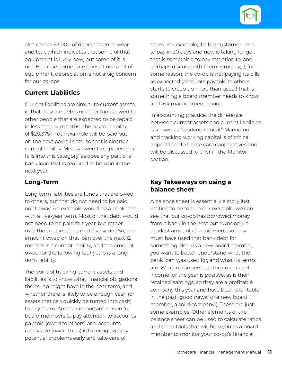

also carries \$3,000 of depreciation or wear and tear, which indicates that some of that equipment is likely new, but some of it is not. Because home care doesn't use a lot of equipment, depreciation is not a big concern for our co-ops.

# **Current Liabilities**

Current liabilities are similar to current assets, in that they are debts or other funds owed to other people that are expected to be repaid in less than 12 months. The payroll liability of \$28,375 in our example will be paid out on the next payroll date, so that is clearly a current liability. Money owed to suppliers also falls into this category, as does any part of a bank loan that is required to be paid in the next year.

# **Long-Term**

Long term liabilities are funds that are owed to others, but that do not need to be paid right away. An example would be a bank loan with a five-year term. Most of that debt would not need to be paid this year, but rather over the course of the next five years. So, the amount owed on that loan over the next 12 months is a current liability, and the amount owed for the following four years is a longterm liability.

The point of tracking current assets and liabilities is to know what financial obligations the co-op might have in the near term, and whether there is likely to be enough cash (or assets that can quickly be turned into cash) to pay them. Another important reason for board members to pay attention to accounts payable (owed to others) and accounts receivable (owed to us) is to recognize any potential problems early and take care of

them. For example, if a big customer used to pay in 30 days and now is taking longer, that is something to pay attention to, and perhaps discuss with them. Similarly, if, for some reason, the co-op is not paying its bills as expected (accounts payable to others starts to creep up more than usual) that is something a board member needs to know and ask management about.

In accounting practice, the difference between current assets and current liabilities is known as "working capital." Managing and tracking working capital is of critical importance to home care cooperatives and will be discussed further in the Monitor section.

# **Key Takeaways on using a balance sheet**

A balance sheet is essentially a story just waiting to be told. In our example, we can see that our co-op has borrowed money from a bank in the past but owns only a modest amount of equipment, so they must have used that bank debt for something else. As a new board member, you want to better understand what the bank loan was used for, and what its terms are. We can also see that the co-op's net income for the year is positive, as is their retained earnings, so they are a profitable company this year and have been profitable in the past (good news for a new board member, a solid company!). These are just some examples. Other elements of the balance sheet can be used to calculate ratios and other tools that will help you as a board member to monitor your co-op's financial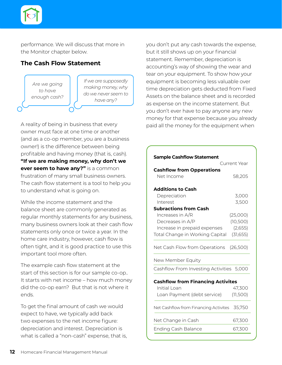

performance. We will discuss that more in the Monitor chapter below.

# **The Cash Flow Statement**



A reality of being in business that every owner must face at one time or another (and as a co-op member, you are a business owner!) is the difference between being profitable and having money (that is, cash). **"If we are making money, why don't we ever seem to have any?"** is a common frustration of many small business owners. The cash flow statement is a tool to help you to understand what is going on.

While the income statement and the balance sheet are commonly generated as regular monthly statements for any business, many business owners look at their cash flow statements only once or twice a year. In the home care industry, however, cash flow is often tight, and it is good practice to use this important tool more often.

The example cash flow statement at the start of this section is for our sample co-op.. It starts with net income – how much money did the co-op earn? But that is not where it ends.

To get the final amount of cash we would expect to have, we typically add back two expenses to the net income figure: depreciation and interest. Depreciation is what is called a "non-cash" expense, that is, you don't put any cash towards the expense, but it still shows up on your financial statement. Remember, depreciation is accounting's way of showing the wear and tear on your equipment. To show how your equipment is becoming less valuable over time depreciation gets deducted from Fixed Assets on the balance sheet and is recorded as expense on the income statement. But you don't ever have to pay anyone any new money for that expense because you already paid all the money for the equipment when

| <b>Sample Cashflow Statement</b>         |              |
|------------------------------------------|--------------|
|                                          | Current Year |
| <b>Cashflow from Opperations</b>         |              |
| Net Income                               | 58,205       |
| <b>Additions to Cash</b>                 |              |
| Depreciation                             | 3,000        |
| Interest                                 | 3,500        |
| <b>Subractions from Cash</b>             |              |
| Increases in $A/R$                       | (25,000)     |
| Decreases in A/P                         | (10,500)     |
| Increase in prepaid expenses             | (2,655)      |
| Total Change in Working Capital          | (31, 655)    |
| Net Cash Flow from Operations            | (26,500)     |
| New Member Equity                        |              |
| Cashflow From Investing Activities 5,000 |              |
| <b>Cashflow from Financing Activites</b> |              |
| Initial Loan                             | 47,300       |
| Loan Payment (debt service)              | (11,500)     |
| Net Cashflow from Financing Activites    | 35,750       |
| Net Change in Cash                       | 67,300       |
| <b>Ending Cash Balance</b>               | 67,300       |
|                                          |              |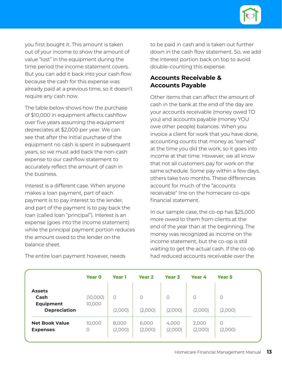

you first bought it. This amount is taken out of your income to show the amount of value "lost" in the equipment during the time period the income statement covers. But you can add it back into your cash flow because the cash for this expense was already paid at a previous time, so it doesn't require any cash now.

The table below shows how the purchase of \$10,000 in equipment affects cashflow over five years assuming the equipment depreciates at \$2,000 per year. We can see that after the initial purchase of the equipment no cash is spent in subsequent years, so we must add back the non-cash expense to our cashflow statement to accurately reflect the amount of cash in the business.

Interest is a different case. When anyone makes a loan payment, part of each payment is to pay interest to the lender, and part of the payment is to pay back the loan (called loan "principal"). Interest is an expense (goes into the income statement) while the principal payment portion reduces the amount owed to the lender on the balance sheet.

to be paid in cash and is taken out further down in the cash flow statement. So, we add the interest portion back on top to avoid double-counting this expense.

# **Accounts Receivable & Accounts Payable**

Other items that can affect the amount of cash in the bank at the end of the day are your accounts receivable (money owed TO you) and accounts payable (money YOU owe other people) balances. When you invoice a client for work that you have done, accounting counts that money as "earned" at the time you did the work, so it goes into income at that time. However, we all know that not all customers pay for work on the same schedule. Some pay within a few days, others take two months. These differences account for much of the "accounts receivable" line on the homecare co-ops financial statement.

In our sample case, the co-op has \$25,000 more owed to them from clients at the end of the year than at the beginning. The money was recognized as income on the income statement, but the co-op is still waiting to get the actual cash. If the co-op had reduced accounts receivable over the

|                                                                  | Year 0             | <b>Year 1</b>      | <b>Year 2</b>    | Year 3                | Year 4           | Year 5       |
|------------------------------------------------------------------|--------------------|--------------------|------------------|-----------------------|------------------|--------------|
| <b>Assets</b><br>Cash<br><b>Equipment</b><br><b>Depreciation</b> | (10,000)<br>10,000 | $\circ$<br>(2,000) | 0<br>(2,000)     | $\bigcirc$<br>(2,000) | 0<br>(2,000)     | 0<br>(2,000) |
| <b>Net Book Value</b><br><b>Expenses</b>                         | 10,000<br>0        | 8,000<br>(2,000)   | 6,000<br>(2,000) | 4,000<br>(2,000)      | 2,000<br>(2,000) | 0<br>(2,000) |

The entire loan payment however, needs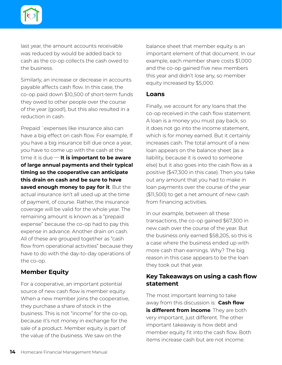

last year, the amount accounts receivable was reduced by would be added back to cash as the co-op collects the cash owed to the business.

Similarly, an increase or decrease in accounts payable affects cash flow. In this case, the co-op paid down \$10,500 of short-term funds they owed to other people over the course of the year (good!), but this also resulted in a reduction in cash.

Prepaid `expenses like insurance also can have a big effect on cash flow. For example, If you have a big insurance bill due once a year, you have to come up with the cash at the time it is due — **It is important to be aware of large annual payments and their typical timing so the cooperative can anticipate this drain on cash and be sure to have saved enough money to pay for it**. But the actual insurance isn't all used up at the time of payment, of course. Rather, the insurance coverage will be valid for the whole year. The remaining amount is known as a "prepaid expense" because the co-op had to pay this expense in advance. Another drain on cash. All of these are grouped together as "cash flow from operational activities" because they have to do with the day-to-day operations of the co-op.

# **Member Equity**

For a cooperative, an important potential source of new cash flow is member equity. When a new member joins the cooperative, they purchase a share of stock in the business. This is not "income" for the co-op, because it's not money in exchange for the sale of a product. Member equity is part of the value of the business. We saw on the

balance sheet that member equity is an important element of that document. In our example, each member share costs \$1,000 and the co-op gained five new members this year and didn't lose any, so member equity increased by \$5,000.

### **Loans**

Finally, we account for any loans that the co-op received in the cash flow statement. A loan is a money you must pay back, so it does not go into the income statement, which is for money earned. But it certainly increases cash. The total amount of a new loan appears on the balance sheet (as a liability, because it is owed to someone else) but it also goes into the cash flow as a positive (\$47,300 in this case). Then you take out any amount that you had to make in loan payments over the course of the year (\$11,500) to get a net amount of new cash from financing activities.

In our example, between all these transactions, the co-op gained \$67,300 in new cash over the course of the year. But the business only earned \$58,205, so this is a case where the business ended up with more cash than earnings. Why? The big reason in this case appears to be the loan they took out that year.

# **Key Takeaways on using a cash flow statement**

The most important learning to take away from this discussion is: **Cash flow is different from income**. They are both very important, just different. The other important takeaway is how debt and member equity fit into the cash flow. Both items increase cash but are not income.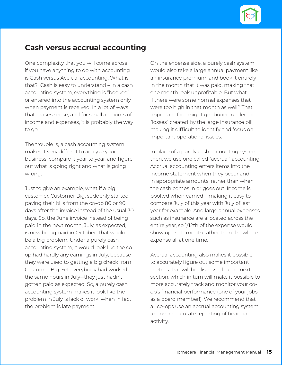

# **Cash versus accrual accounting**

One complexity that you will come across if you have anything to do with accounting is Cash versus Accrual accounting. What is that? Cash is easy to understand – in a cash accounting system, everything is "booked" or entered into the accounting system only when payment is received. In a lot of ways that makes sense, and for small amounts of income and expenses, it is probably the way to go.

The trouble is, a cash accounting system makes it very difficult to analyze your business, compare it year to year, and figure out what is going right and what is going wrong.

Just to give an example, what if a big customer, Customer Big, suddenly started paying their bills from the co-op 80 or 90 days after the invoice instead of the usual 30 days. So, the June invoice instead of being paid in the next month, July, as expected, is now being paid in October. That would be a big problem. Under a purely cash accounting system, it would look like the coop had hardly any earnings in July, because they were used to getting a big check from Customer Big. Yet everybody had worked the same hours in July--they just hadn't gotten paid as expected. So, a purely cash accounting system makes it look like the problem in July is lack of work, when in fact the problem is late payment.

On the expense side, a purely cash system would also take a large annual payment like an insurance premium, and book it entirely in the month that it was paid, making that one month look unprofitable. But what if there were some normal expenses that were too high in that month as well? That important fact might get buried under the "losses" created by the large insurance bill, making it difficult to identify and focus on important operational issues.

In place of a purely cash accounting system then, we use one called "accrual" accounting. Accrual accounting enters items into the income statement when they occur and in appropriate amounts, rather than when the cash comes in or goes out. Income is booked when earned—making it easy to compare July of this year with July of last year for example. And large annual expenses such as insurance are allocated across the entire year, so 1/12th of the expense would show up each month rather than the whole expense all at one time.

Accrual accounting also makes it possible to accurately figure out some important metrics that will be discussed in the next section, which in turn will make it possible to more accurately track and monitor your coop's financial performance (one of your jobs as a board member!). We recommend that all co-ops use an accrual accounting system to ensure accurate reporting of financial activity.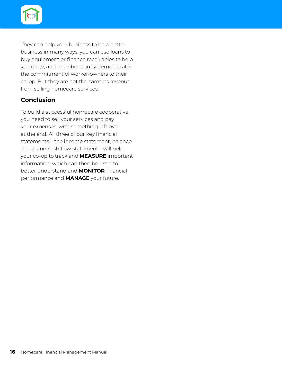

They can help your business to be a better business in many ways: you can use loans to buy equipment or finance receivables to help you grow; and member equity demonstrates the commitment of worker-owners to their co-op. But they are not the same as revenue from selling homecare services.

# **Conclusion**

To build a successful homecare cooperative, you need to sell your services and pay your expenses, with something left over at the end. All three of our key financial statements—the income statement, balance sheet, and cash flow statement—will help your co-op to track and **MEASURE** important information, which can then be used to better understand and **MONITOR** financial performance and **MANAGE** your future.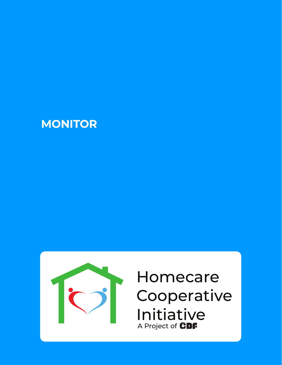# **MONITOR**



# Homecare Cooperative Initiative A Project of CDF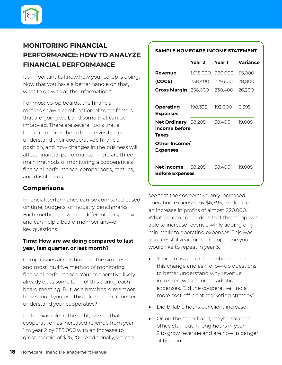

# **MONITORING FINANCIAL PERFORMANCE: HOW TO ANALYZE FINANCIAL PERFORMANCE**

It's important to know how your co-op is doing. Now that you have a better handle on that, what to do with all the information?

For most co-op boards, the financial metrics show a combination of some factors that are going well, and some that can be improved. There are several tools that a board can use to help themselves better understand their cooperative's financial position, and how changes in the business will affect financial performance. There are three main methods of monitoring a cooperative's financial performance: comparisons, metrics, and dashboards.

# **Comparisons**

Financial performance can be compared based on time, budgets, or industry benchmarks. Each method provides a different perspective and can help a board member answer key questions.

### **Time: How are we doing compared to last year, last quarter, or last month?**

Comparisons across time are the simplest and most intuitive method of monitoring financial performance. Your cooperative likely already does some form of this during each board meeting. But, as a new board member, how should you use this information to better understand your cooperative?

In the example to the right, we see that the cooperative has increased revenue from year 1 to year 2 by \$55,000 with an increase to gross margin of \$26,200. Additionally, we can

### **SAMPLE HOMECARE INCOME STATEMENT**

|                                                      | Year 2    | Year 1  | Variance |
|------------------------------------------------------|-----------|---------|----------|
| Revenue                                              | 1,015,000 | 960,000 | 55,000   |
| (COGS)                                               | 758,400   | 729,600 | 28,800   |
| Gross Margin 256,600                                 |           | 230,400 | 26,200   |
| <b>Operating</b><br><b>Expenses</b>                  | 198,395   | 192,000 | 6,395    |
| <b>Net Ordinary</b> 58,205<br>Income before<br>Taxes |           | 38,400  | 19,805   |
| Other Income/<br><b>Expenses</b>                     |           |         |          |
| Net Income<br><b>Before Expenses</b>                 | 58,205    | 38,400  | 19,805   |

see that the cooperative only increased operating expenses by \$6,395, leading to an increase in profits of almost \$20,000. What we can conclude is that the co-op was able to increase revenue while adding only minimally to operating expenses. This was a successful year for the co-op – one you would like to repeat in year 3.

- ▶ Your job as a board member is to see this change and ask follow-up questions to better understand why revenue increased with minimal additional expenses. Did the cooperative find a more cost-efficient marketing strategy?
- ▶ Did billable hours per client increase?
- ▶ Or, on the other hand, maybe salaried office staff put in long hours in year 2 to grow revenue and are now in danger of burnout.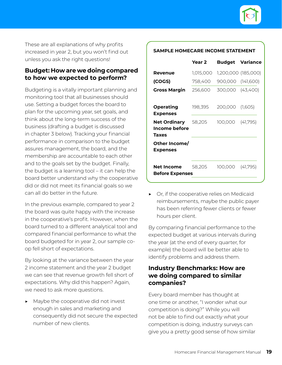

These are all explanations of why profits increased in year 2, but you won't find out unless you ask the right questions!

# **Budget: How are we doing compared to how we expected to perform?**

Budgeting is a vitally important planning and monitoring tool that all businesses should use. Setting a budget forces the board to plan for the upcoming year, set goals, and think about the long-term success of the business (drafting a budget is discussed in chapter 3 below). Tracking your financial performance in comparison to the budget assures management, the board, and the membership are accountable to each other and to the goals set by the budget. Finally, the budget is a learning tool – it can help the board better understand why the cooperative did or did not meet its financial goals so we can all do better in the future.

In the previous example, compared to year 2 the board was quite happy with the increase in the cooperative's profit. However, when the board turned to a different analytical tool and compared financial performance to what the board budgeted for in year 2, our sample coop fell short of expectations.

By looking at the variance between the year 2 income statement and the year 2 budget we can see that revenue growth fell short of expectations. Why did this happen? Again, we need to ask more questions.

Maybe the cooperative did not invest enough in sales and marketing and consequently did not secure the expected number of new clients.

### **SAMPLE HOMECARE INCOME STATEMENT**

|                                             | Year 2    |                     | <b>Budget Variance</b> |
|---------------------------------------------|-----------|---------------------|------------------------|
| Revenue                                     | 1,015,000 | 1,200,000 (185,000) |                        |
| (COGS)                                      | 758,400   | 900,000             | (141,600)              |
| <b>Gross Margin</b>                         | 256,600   | 300,000 (43,400)    |                        |
| <b>Operating</b><br><b>Expenses</b>         | 198,395   | 200,000             | (1,605)                |
| Net Ordinary<br>Income before<br>Taxes      | 58,205    | 100,000             | (41,795)               |
| Other Income/<br><b>Expenses</b>            |           |                     |                        |
| <b>Net Income</b><br><b>Before Expenses</b> | 58,205    | 100,000             | (41,795)               |

▶ Or, if the cooperative relies on Medicaid reimbursements, maybe the public payer has been referring fewer clients or fewer hours per client.

By comparing financial performance to the expected budget at various intervals during the year (at the end of every quarter, for example) the board will be better able to identify problems and address them.

# **Industry Benchmarks: How are we doing compared to similar companies?**

Every board member has thought at one time or another, "I wonder what our competition is doing?" While you will not be able to find out exactly what your competition is doing, industry surveys can give you a pretty good sense of how similar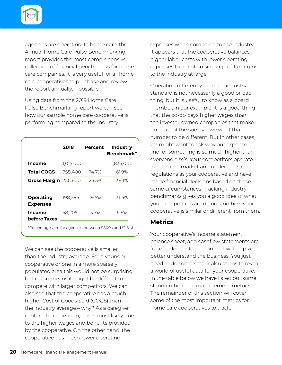

agencies are operating. In home care, the Annual Home Care Pulse Benchmarking report provides the most comprehensive collection of financial benchmarks for home care companies. It is very useful for all home care cooperatives to purchase and review the report annually, if possible.

Using data from the 2019 Home Care Pulse Benchmarking report we can see how our sample home care cooperative is performing compared to the industry.

| 2018                 | Percent | <b>Industry</b><br>Benchmark* |
|----------------------|---------|-------------------------------|
| 1,015,000            |         | 1,835,000                     |
| 758,400              | 74.7%   | 61.9%                         |
| Gross Margin 256,600 | 25.3%   | 381%                          |
| 198,395              | 19.5%   | 31.5%                         |
| 58,205               | 57%     | 6.6%                          |
|                      |         |                               |

We can see the cooperative is smaller than the industry average. For a younger cooperative or one in a more sparsely populated area this would not be surprising, but it also means it might be difficult to compete with larger competitors. We can also see that the cooperative has a much higher Cost of Goods Sold (COGS) than the industry average – why? As a caregiver centered organization, this is most likely due to the higher wages and benefits provided by the cooperative. On the other hand, the cooperative has much lower operating

expenses when compared to the industry. It appears that the cooperative balances higher labor costs with lower operating expenses to maintain similar profit margins to the industry at large.

Operating differently than the industry standard is not necessarily a good or bad thing, but it is useful to know as a board member. In our example, it is a good thing that the co-op pays higher wages than the investor-owned companies that make up most of the survey – we want that number to be different. But in other cases, we might want to ask why our expense line for something is so much higher than everyone else's. Your competitors operate in the same market and under the same regulations as your cooperative and have made financial decisions based on those same circumstances. Tracking industry benchmarks gives you a good idea of what your competitors are doing, and how your cooperative is similar or different from them.

### **Metrics**

Your cooperative's income statement, balance sheet, and cashflow statements are full of hidden information that will help you better understand the business. You just need to do some small calculations to reveal a world of useful data for your cooperative. In the table below we have listed out some standard financial management metrics. The remainder of this section will cover some of the most important metrics for home care cooperatives to track.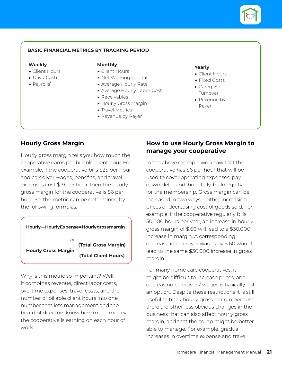

### **BASIC FINANCIAL METRICS BY TRACKING PERIOD**

#### **Weekly**

- ▶ Client Hours
- ▶ Days' Cash
- ▶ Payrolls'

#### **Monthly**

- ▶ Client Hours
- ▶ Net Working Capital
- ▶ Average Hourly Rate
- ▶ Average Hourly Labor Cost
- ▶ Receivables
- ▶ Hourly Gross Margin
- ▶ Travel Metrics
- ▶ Revenue by Payer

### **Yearly**

- ▶ Client Hours
- ▶ Fixed Costs
- ▶ Caregiver Turnover
- ▶ Revenue by Payer

# **Hourly Gross Margin**

Hourly gross margin tells you how much the cooperative earns per billable client hour. For example, if the cooperative bills \$25 per hour and caregiver wages, benefits, and travel expenses cost \$19 per hour, then the hourly gross margin for the cooperative is \$6 per hour. So, the metric can be determined by the following formulas:



Why is this metric so important? Well, it combines revenue, direct labor costs, overtime expenses, travel costs, and the number of billable client hours into one number that lets management and the board of directors know how much money the cooperative is earning on each hour of work.

### **How to use Hourly Gross Margin to manage your cooperative**

In the above example we know that the cooperative has \$6 per hour that will be used to cover operating expenses, pay down debt, and, hopefully, build equity for the membership. Gross margin can be increased in two ways – either increasing prices or decreasing cost of goods sold. For example, if the cooperative regularly bills 50,000 hours per year, an increase in hourly gross margin of \$.60 will lead to a \$30,000 increase in margin. A corresponding decrease in caregiver wages by \$.60 would lead to the same \$30,000 increase in gross margin.

For many home care cooperatives, it might be difficult to increase prices, and decreasing caregivers' wages is typically not an option. Despite these restrictions it is still useful to track hourly gross margin because there are other less obvious changes in the business that can also affect hourly gross margin, and that the co-op might be better able to manage. For example, gradual increases in overtime expense and travel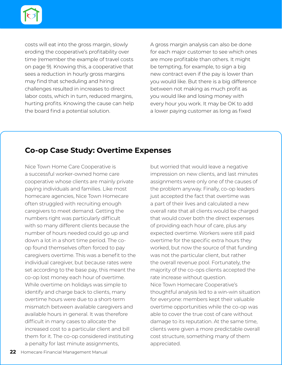

costs will eat into the gross margin, slowly eroding the cooperative's profitability over time (remember the example of travel costs on page 9). Knowing this, a cooperative that sees a reduction in hourly gross margins may find that scheduling and hiring challenges resulted in increases to direct labor costs, which in turn, reduced margins, hurting profits. Knowing the cause can help the board find a potential solution.

A gross margin analysis can also be done for each major customer to see which ones are more profitable than others. It might be tempting, for example, to sign a big new contract even if the pay is lower than you would like. But there is a big difference between not making as much profit as you would like and losing money with every hour you work. It may be OK to add a lower paying customer as long as fixed

# **Co-op Case Study: Overtime Expenses**

Nice Town Home Care Cooperative is a successful worker-owned home care cooperative whose clients are mainly private paying individuals and families. Like most homecare agencies, Nice Town Homecare often struggled with recruiting enough caregivers to meet demand. Getting the numbers right was particularly difficult with so many different clients because the number of hours needed could go up and down a lot in a short time period. The coop found themselves often forced to pay caregivers overtime. This was a benefit to the individual caregiver, but because rates were set according to the base pay, this meant the co-op lost money each hour of overtime. While overtime on holidays was simple to identify and charge back to clients, many overtime hours were due to a short-term mismatch between available caregivers and available hours in general. It was therefore difficult in many cases to allocate the increased cost to a particular client and bill them for it. The co-op considered instituting a penalty for last minute assignments,

but worried that would leave a negative impression on new clients, and last minutes assignments were only one of the causes of the problem anyway. Finally, co-op leaders just accepted the fact that overtime was a part of their lives and calculated a new overall rate that all clients would be charged that would cover both the direct expenses of providing each hour of care, plus any expected overtime. Workers were still paid overtime for the specific extra hours they worked, but now the source of that funding was not the particular client, but rather the overall revenue pool. Fortunately, the majority of the co-ops clients accepted the rate increase without question. Nice Town Homecare Cooperative's thoughtful analysis led to a win-win situation for everyone: members kept their valuable overtime opportunities while the co-op was able to cover the true cost of care without damage to its reputation. At the same time, clients were given a more predictable overall cost structure, something many of them appreciated.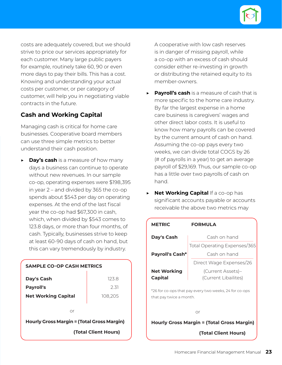

costs are adequately covered, but we should strive to price our services appropriately for each customer. Many large public payers for example, routinely take 60, 90 or even more days to pay their bills. This has a cost. Knowing and understanding your actual costs per customer, or per category of customer, will help you in negotiating viable contracts in the future.

# **Cash and Working Capital**

Managing cash is critical for home care businesses. Cooperative board members can use three simple metrics to better understand their cash position.

**Day's cash** is a measure of how many days a business can continue to operate without new revenues. In our sample co-op, operating expenses were \$198,395 in year 2 – and divided by 365 the co-op spends about \$543 per day on operating expenses. At the end of the last fiscal year the co-op had \$67,300 in cash, which, when divided by \$543 comes to 123.8 days, or more than four months, of cash. Typically, businesses strive to keep at least 60-90 days of cash on hand, but this can vary tremendously by industry.

| <b>SAMPLE CO-OP CASH METRICS</b>           |         |  |
|--------------------------------------------|---------|--|
| Day's Cash                                 | 1238    |  |
| <b>Payroll's</b>                           | 2.31    |  |
| <b>Net Working Capital</b>                 | 108,205 |  |
| Ωr                                         |         |  |
| Hourly Gross Margin = (Total Gross Margin) |         |  |
| (Total Client Hours)                       |         |  |

A cooperative with low cash reserves is in danger of missing payroll, while a co-op with an excess of cash should consider either re-investing in growth or distributing the retained equity to its member-owners.

- ▶ **Payroll's cash** is a measure of cash that is more specific to the home care industry. By far the largest expense in a home care business is caregivers' wages and other direct labor costs. It is useful to know how many payrolls can be covered by the current amount of cash on hand. Assuming the co-op pays every two weeks, we can divide total COGS by 26 (# of payrolls in a year) to get an average payroll of \$29,169. Thus, our sample co-op has a little over two payrolls of cash on hand.
- ▶ **Net Working Capital** If a co-op has significant accounts payable or accounts receivable the above two metrics may

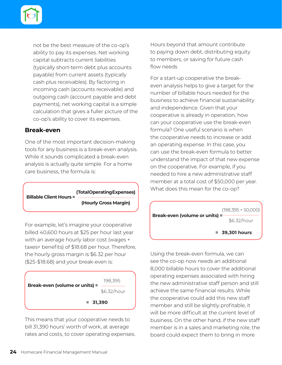

not be the best measure of the co-op's ability to pay its expenses. Net working capital subtracts current liabilities (typically short-term debt plus accounts payable) from current assets (typically cash plus receivables). By factoring in incoming cash (accounts receivable) and outgoing cash (account payable and debt payments), net working capital is a simple calculation that gives a fuller picture of the co-op's ability to cover its expenses.

### **Break-even**

One of the most important decision-making tools for any business is a break-even analysis. While it sounds complicated a break-even analysis is actually quite simple. For a home care business, the formula is:

| <b>Billable Client Hours =</b> | (TotalOperatingExpenses) |
|--------------------------------|--------------------------|
|                                | (Hourly Gross Margin)    |
|                                |                          |

For example, let's imagine your cooperative billed 40,600 hours at \$25 per hour last year with an average hourly labor cost (wages + taxes+ benefits) of \$18.68 per hour. Therefore, the hourly gross margin is \$6.32 per hour (\$25-\$18.68) and your break-even is:



This means that your cooperative needs to bill 31,390 hours' worth of work, at average rates and costs, to cover operating expenses. Hours beyond that amount contribute to paying down debt, distributing equity to members, or saving for future cash flow needs

For a start-up cooperative the breakeven analysis helps to give a target for the number of billable hours needed for the business to achieve financial sustainability and independence. Given that your cooperative is already in operation, how can your cooperative use the break-even formula? One useful scenario is when the cooperative needs to increase or add an operating expense. In this case, you can use the break-even formula to better understand the impact of that new expense on the cooperative. For example, if you needed to hire a new administrative staff member at a total cost of \$50,000 per year. What does this mean for the co-op?



Using the break-even formula, we can see the co-op now needs an additional 8,000 billable hours to cover the additional operating expenses associated with hiring the new administrative staff person and still achieve the same financial results. While the cooperative could add this new staff member and still be slightly profitable, it will be more difficult at the current level of business. On the other hand, if the new staff member is in a sales and marketing role, the board could expect them to bring in more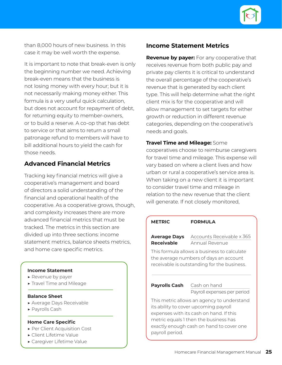

than 8,000 hours of new business. In this case it may be well worth the expense.

It is important to note that break-even is only the beginning number we need. Achieving break-even means that the business is not losing money with every hour; but it is not necessarily making money either. This formula is a very useful quick calculation, but does not account for repayment of debt, for returning equity to member-owners, or to build a reserve. A co-op that has debt to service or that aims to return a small patronage refund to members will have to bill additional hours to yield the cash for those needs.

### **Advanced Financial Metrics**

Tracking key financial metrics will give a cooperative's management and board of directors a solid understanding of the financial and operational health of the cooperative. As a cooperative grows, though, and complexity increases there are more advanced financial metrics that must be tracked. The metrics in this section are divided up into three sections: income statement metrics, balance sheets metrics, and home care specific metrics.

#### **Income Statement**

- ▶ Revenue by payer
- ▶ Travel Time and Mileage

### **Balance Sheet**

- ▶ Average Days Receivable
- ▶ Payrolls Cash

#### **Home Care Specific**

- ▶ Per Client Acquisition Cost
- ▶ Client Lifetime Value
- ▶ Caregiver Lifetime Value

### **Income Statement Metrics**

**Revenue by payer:** For any cooperative that receives revenue from both public pay and private pay clients it is critical to understand the overall percentage of the cooperative's revenue that is generated by each client type. This will help determine what the right client mix is for the cooperative and will allow management to set targets for either growth or reduction in different revenue categories, depending on the cooperative's needs and goals.

### **Travel Time and Mileage:** Some

cooperatives choose to reimburse caregivers for travel time and mileage. This expense will vary based on where a client lives and how urban or rural a cooperative's service area is. When taking on a new client it is important to consider travel time and mileage in relation to the new revenue that the client will generate. If not closely monitored,

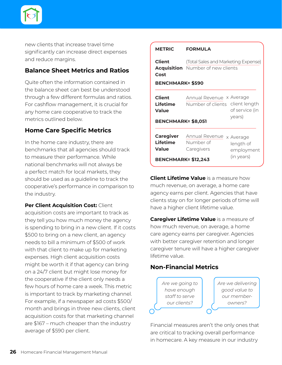

new clients that increase travel time significantly can increase direct expenses and reduce margins.

# **Balance Sheet Metrics and Ratios**

Quite often the information contained in the balance sheet can best be understood through a few different formulas and ratios. For cashflow management, it is crucial for any home care cooperative to track the metrics outlined below.

# **Home Care Specific Metrics**

In the home care industry, there are benchmarks that all agencies should track to measure their performance. While national benchmarks will not always be a perfect match for local markets, they should be used as a guideline to track the cooperative's performance in comparison to the industry.

**Per Client Acquisition Cost: Client** acquisition costs are important to track as they tell you how much money the agency is spending to bring in a new client. If it costs \$500 to bring on a new client, an agency needs to bill a minimum of \$500 of work with that client to make up for marketing expenses. High client acquisition costs might be worth it if that agency can bring on a 24/7 client but might lose money for the cooperative if the client only needs a few hours of home care a week. This metric is important to track by marketing channel. For example, if a newspaper ad costs \$500/ month and brings in three new clients, client acquisition costs for that marketing channel are \$167 – much cheaper than the industry average of \$590 per client.

| <b>METRIC</b>                                                                 | <b>FORMULA</b>                                                                  |                                                    |  |  |  |
|-------------------------------------------------------------------------------|---------------------------------------------------------------------------------|----------------------------------------------------|--|--|--|
| <b>Client</b><br>Cost<br><b>BENCHMARK= \$590</b>                              | (Total Sales and Marketing Expense)<br><b>Acquisition</b> Number of new clients |                                                    |  |  |  |
| <b>Client</b><br><b>Lifetime</b><br><b>Value</b><br><b>BENCHMARK= \$8,051</b> | Annual Revenue x Average<br>Number of clients                                   | client length<br>of service (in<br>years)          |  |  |  |
| <b>Caregiver</b><br>Lifetime<br><b>Value</b><br><b>BENCHMARK= \$12,243</b>    | Annual Revenue<br>Number of<br>Caregivers                                       | x Average<br>length of<br>employment<br>(in years) |  |  |  |

**Client Lifetime Value** is a measure how much revenue, on average, a home care agency earns per client. Agencies that have clients stay on for longer periods of time will have a higher client lifetime value.

**Caregiver Lifetime Value** is a measure of how much revenue, on average, a home care agency earns per caregiver. Agencies with better caregiver retention and longer caregiver tenure will have a higher caregiver lifetime value.

# **Non-Financial Metrics**



*Are we delivering good value to our memberowners?*

Financial measures aren't the only ones that are critical to tracking overall performance in homecare. A key measure in our industry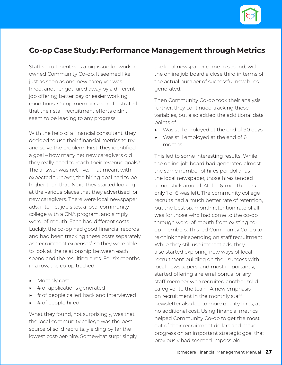

# **Co-op Case Study: Performance Management through Metrics**

Staff recruitment was a big issue for workerowned Community Co-op. It seemed like just as soon as one new caregiver was hired, another got lured away by a different job offering better pay or easier working conditions. Co-op members were frustrated that their staff recruitment efforts didn't seem to be leading to any progress.

With the help of a financial consultant, they decided to use their financial metrics to try and solve the problem. First, they identified a goal – how many net new caregivers did they really need to reach their revenue goals? The answer was net five. That meant with expected turnover, the hiring goal had to be higher than that. Next, they started looking at the various places that they advertised for new caregivers. There were local newspaper ads, internet job sites, a local community college with a CNA program, and simply word-of-mouth. Each had different costs. Luckily, the co-op had good financial records and had been tracking these costs separately as "recruitment expenses" so they were able to look at the relationship between each spend and the resulting hires. For six months in a row, the co-op tracked:

- ▶ Monthly cost
- ▶ # of applications generated
- $\rightarrow$  # of people called back and interviewed
- ▶ # of people hired

What they found, not surprisingly, was that the local community college was the best source of solid recruits, yielding by far the lowest cost-per-hire. Somewhat surprisingly, the local newspaper came in second, with the online job board a close third in terms of the actual number of successful new hires generated.

Then Community Co-op took their analysis further: they continued tracking these variables, but also added the additional data points of

- ▶ Was still employed at the end of 90 days
- ▶ Was still employed at the end of 6 months.

This led to some interesting results. While the online job board had generated almost the same number of hires per dollar as the local newspaper, those hires tended to not stick around. At the 6-month mark, only 1 of 6 was left. The community college recruits had a much better rate of retention, but the best six-month retention rate of all was for those who had come to the co-op through word-of-mouth from existing coop members. This led Community Co-op to re-think their spending on staff recruitment. While they still use internet ads, they also started exploring new ways of local recruitment building on their success with local newspapers, and most importantly, started offering a referral bonus for any staff member who recruited another solid caregiver to the team. A new emphasis on recruitment in the monthly staff newsletter also led to more quality hires, at no additional cost. Using financial metrics helped Community Co-op to get the most out of their recruitment dollars and make progress on an important strategic goal that previously had seemed impossible.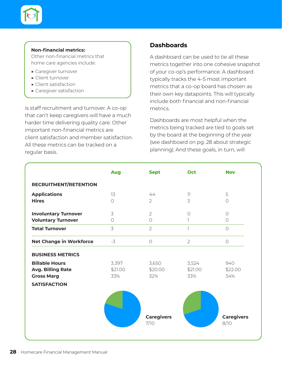

### **Non-financial metrics:**

Other non-financial metrics that home care agencies include:

- ▶ Caregiver turnover
- ▶ Client turnover
- ▶ Client satisfaction
- ▶ Caregiver satisfaction

is staff recruitment and turnover. A co-op that can't keep caregivers will have a much harder time delivering quality care. Other important non-financial metrics are client satisfaction and member satisfaction. All these metrics can be tracked on a regular basis.

# **Dashboards**

A dashboard can be used to tie all these metrics together into one cohesive snapshot of your co-op's performance. A dashboard typically tracks the 4-5 most important metrics that a co-op board has chosen as their own key datapoints. This will typically include both financial and non-financial metrics.

Dashboards are most helpful when the metrics being tracked are tied to goals set by the board at the beginning of the year (see dashboard on pg. 28 about strategic planning). And these goals, in turn, will

|                                | <b>Aug</b> | <b>Sept</b>               | Oct            | <b>Nov</b>                |
|--------------------------------|------------|---------------------------|----------------|---------------------------|
| <b>RECRUITMENT/RETENTION</b>   |            |                           |                |                           |
| <b>Applications</b>            | 13         | 44                        |                | 5                         |
| <b>Hires</b>                   | $\bigcirc$ | $\overline{2}$            | 3              | $\bigcirc$                |
| <b>Involuntary Turnover</b>    | 3          | $\overline{2}$            | $\circ$        | $\bigcirc$                |
| <b>Voluntary Turnover</b>      | $\bigcirc$ | $\circ$                   |                | $\bigcirc$                |
| <b>Total Turnover</b>          | 3          | $\overline{2}$            | 1              | $\bigcirc$                |
| <b>Net Change in Workforce</b> | $-3$       | $\circ$                   | $\overline{2}$ | $\bigcirc$                |
| <b>BUSINESS METRICS</b>        |            |                           |                |                           |
| <b>Billable Hours</b>          | 3,397      | 3,650                     | 3,524          | 940                       |
| <b>Avg. Billing Rate</b>       | \$21.00    | \$20.00                   | \$21.00        | \$22.00                   |
| <b>Gross Marg</b>              | 33%        | 32%                       | 33%            | 34%                       |
| <b>SATISFACTION</b>            |            |                           |                |                           |
|                                |            |                           |                |                           |
|                                |            | <b>Caregivers</b><br>7/10 |                | <b>Caregivers</b><br>8/10 |
|                                |            |                           |                |                           |
|                                |            |                           |                |                           |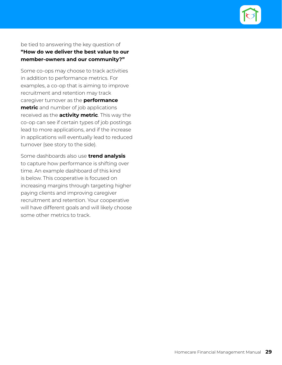

Some co-ops may choose to track activities in addition to performance metrics. For examples, a co-op that is aiming to improve recruitment and retention may track caregiver turnover as the **performance metric** and number of job applications received as the **activity metric**. This way the co-op can see if certain types of job postings lead to more applications, and if the increase in applications will eventually lead to reduced turnover (see story to the side).

Some dashboards also use **trend analysis** to capture how performance is shifting over time. An example dashboard of this kind is below. This cooperative is focused on increasing margins through targeting higher paying clients and improving caregiver recruitment and retention. Your cooperative will have different goals and will likely choose some other metrics to track.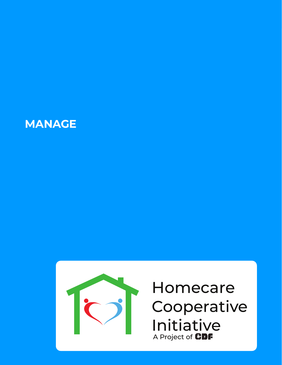



Homecare Cooperative Initiative A Project of CDF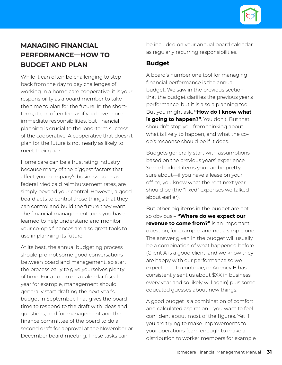

# **MANAGING FINANCIAL PERFORMANCE—HOW TO BUDGET AND PLAN**

While it can often be challenging to step back from the day to day challenges of working in a home care cooperative, it is your responsibility as a board member to take the time to plan for the future. In the shortterm, it can often feel as if you have more immediate responsibilities, but financial planning is crucial to the long-term success of the cooperative. A cooperative that doesn't plan for the future is not nearly as likely to meet their goals.

Home care can be a frustrating industry, because many of the biggest factors that affect your company's business, such as federal Medicaid reimbursement rates, are simply beyond your control. However, a good board acts to control those things that they can control and build the future they want. The financial management tools you have learned to help understand and monitor your co-op's finances are also great tools to use in planning its future.

At its best, the annual budgeting process should prompt some good conversations between board and management, so start the process early to give yourselves plenty of time. For a co-op on a calendar fiscal year for example, management should generally start drafting the next year's budget in September. That gives the board time to respond to the draft with ideas and questions, and for management and the finance committee of the board to do a second draft for approval at the November or December board meeting. These tasks can

be included on your annual board calendar as regularly recurring responsibilities.

# **Budget**

A board's number one tool for managing financial performance is the annual budget. We saw in the previous section that the budget clarifies the previous year's performance, but it is also a planning tool. But you might ask, **"How do I know what is going to happen?"**. You don't. But that shouldn't stop you from thinking about what is likely to happen, and what the coop's response should be if it does.

Budgets generally start with assumptions based on the previous years' experience. Some budget items you can be pretty sure about—if you have a lease on your office, you know what the rent next year should be (the "fixed" expenses we talked about earlier).

But other big items in the budget are not so obvious – **"Where do we expect our revenue to come from?"** is an important question, for example, and not a simple one. The answer given in the budget will usually be a combination of what happened before (Client A is a good client, and we know they are happy with our performance so we expect that to continue, or Agency B has consistently sent us about \$XX in business every year and so likely will again) plus some educated guesses about new things.

A good budget is a combination of comfort and calculated aspiration—you want to feel confident about most of the figures. Yet if you are trying to make improvements to your operations (earn enough to make a distribution to worker members for example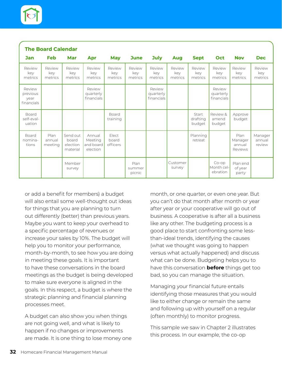

| <b>The Board Calendar</b>                |                           |                                           |                                            |                                   |                          |                                   |                          |                             |                                    |                                      |                             |
|------------------------------------------|---------------------------|-------------------------------------------|--------------------------------------------|-----------------------------------|--------------------------|-----------------------------------|--------------------------|-----------------------------|------------------------------------|--------------------------------------|-----------------------------|
| <b>Jan</b>                               | <b>Feb</b>                | Mar                                       | Apr                                        | <b>May</b>                        | <b>June</b>              | <b>July</b>                       | Aug                      | <b>Sept</b>                 | Oct                                | <b>Nov</b>                           | <b>Dec</b>                  |
| Review<br>key<br>metrics                 | Review<br>key<br>metrics  | Review<br>key<br>metrics                  | Review<br>key<br>metrics                   | Review<br>key<br>metrics          | Review<br>key<br>metrics | Review<br>key<br>metrics          | Review<br>key<br>metrics | Review<br>key<br>metrics    | Review<br>key<br>metrics           | Review<br>key<br>metrics             | Review<br>key<br>metrics    |
| Review<br>previous<br>vear<br>financials |                           |                                           | Review<br>quarterly<br>financials          |                                   |                          | Review<br>quarterly<br>financials |                          |                             | Review<br>quarterly<br>financials  |                                      |                             |
| <b>Board</b><br>self-eval-<br>uation     |                           |                                           |                                            | Board<br>training                 |                          |                                   |                          | Start<br>drafting<br>budget | Review &<br>amend<br>budget        | Approve<br>budget                    |                             |
| <b>Board</b><br>nomina-<br>tions         | Plan<br>annual<br>meeting | Send out<br>board<br>election<br>material | Annual<br>Meeting<br>and board<br>election | <b>Elect</b><br>board<br>officers |                          |                                   |                          | Planning<br>retreat         |                                    | Plan<br>Manager<br>annual<br>Reviews | Manager<br>annual<br>review |
|                                          |                           | Member<br>survey                          |                                            |                                   | Plan<br>summer<br>picnic |                                   | Customer<br>survey       |                             | $Co$ -op<br>Month cel-<br>ebration | Plan end<br>of year<br>party         |                             |

or add a benefit for members) a budget will also entail some well-thought out ideas for things that you are planning to turn out differently (better) than previous years. Maybe you want to keep your overhead to a specific percentage of revenues or increase your sales by 10%. The budget will help you to monitor your performance, month-by-month, to see how you are doing in meeting these goals. It is important to have these conversations in the board meetings as the budget is being developed to make sure everyone is aligned in the goals. In this respect, a budget is where the strategic planning and financial planning processes meet.

A budget can also show you when things are not going well, and what is likely to happen if no changes or improvements are made. It is one thing to lose money one month, or one quarter, or even one year. But you can't do that month after month or year after year or your cooperative will go out of business. A cooperative is after all a business like any other. The budgeting process is a good place to start confronting some lessthan-ideal trends, identifying the causes (what we thought was going to happen versus what actually happened) and discuss what can be done. Budgeting helps you to have this conversation **before** things get too bad, so you can manage the situation.

Managing your financial future entails identifying those measures that you would like to either change or remain the same and following up with yourself on a regular (often monthly) to monitor progress.

This sample we saw in Chapter 2 illustrates this process. In our example, the co-op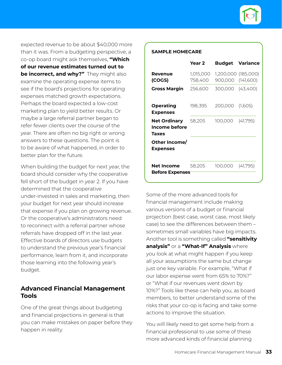

expected revenue to be about \$40,000 more than it was. From a budgeting perspective, a co-op board might ask themselves, **"Which of our revenue estimates turned out to be incorrect, and why?"** They might also examine the operating expense items to see if the board's projections for operating expenses matched growth expectations. Perhaps the board expected a low-cost marketing plan to yield better results. Or maybe a large referral partner began to refer fewer clients over the course of the year. There are often no big right or wrong answers to these questions. The point is to be aware of what happened, in order to better plan for the future.

When building the budget for next year, the board should consider why the cooperative fell short of the budget in year 2. If you have determined that the cooperative under-invested in sales and marketing, then your budget for next year should increase that expense if you plan on growing revenue. Or the cooperative's administrators need to reconnect with a referral partner whose referrals have dropped off in the last year. Effective boards of directors use budgets to understand the previous year's financial performance, learn from it, and incorporate those learning into the following year's budget.

# **Advanced Financial Management Tools**

One of the great things about budgeting and financial projections in general is that you can make mistakes on paper before they happen in reality.

### **SAMPLE HOMECARE**

|                                                      | <b>Year 2</b>        |                                          | <b>Budget Variance</b> |
|------------------------------------------------------|----------------------|------------------------------------------|------------------------|
| Revenue<br>(COGS)                                    | 1,015,000<br>758,400 | 1,200,000 (185,000)<br>900,000 (141,600) |                        |
| <b>Gross Margin</b>                                  | 256,600              | 300,000 (43,400)                         |                        |
| <b>Operating</b><br><b>Expenses</b>                  | 198,395              | 200,000                                  | (1,605)                |
| <b>Net Ordinary</b><br>Income before<br><b>Taxes</b> | 58,205               | 100,000 (41,795)                         |                        |
| Other Income/<br><b>Expenses</b>                     |                      |                                          |                        |
| <b>Net Income</b><br><b>Before Expenses</b>          | 58,205               | 100,000                                  | (41,795)               |

Some of the more advanced tools for financial management include making various versions of a budget or financial projection (best case, worst case, most likely case) to see the differences between them – sometimes small variables have big impacts. Another tool is something called **"sensitivity analysis"** or a **"What-If" Analysis** where you look at what might happen if you keep all your assumptions the same but change just one key variable. For example, "What if our labor expense went from 65% to 70%?" or "What if our revenues went down by 10%?" Tools like these can help you, as board members, to better understand some of the risks that your co-op is facing and take some actions to improve the situation.

You will likely need to get some help from a financial professional to use some of these more advanced kinds of financial planning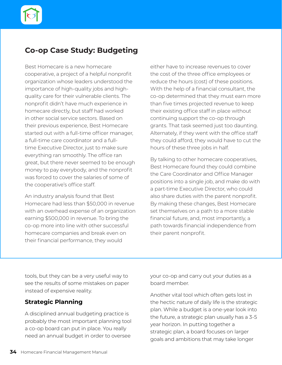# **Co-op Case Study: Budgeting**

Best Homecare is a new homecare cooperative, a project of a helpful nonprofit organization whose leaders understood the importance of high-quality jobs and highquality care for their vulnerable clients. The nonprofit didn't have much experience in homecare directly, but staff had worked in other social service sectors. Based on their previous experience, Best Homecare started out with a full-time officer manager, a full-time care coordinator and a fulltime Executive Director, just to make sure everything ran smoothly. The office ran great, but there never seemed to be enough money to pay everybody, and the nonprofit was forced to cover the salaries of some of the cooperative's office staff.

An industry analysis found that Best Homecare had less than \$50,000 in revenue with an overhead expense of an organization earning \$500,000 in revenue. To bring the co-op more into line with other successful homecare companies and break even on their financial performance, they would

either have to increase revenues to cover the cost of the three office employees or reduce the hours (cost) of these positions. With the help of a financial consultant, the co-op determined that they must earn more than five times projected revenue to keep their existing office staff in place without continuing support the co-op through grants. That task seemed just too daunting. Alternately, if they went with the office staff they could afford, they would have to cut the hours of these three jobs in half.

By talking to other homecare cooperatives, Best Homecare found they could combine the Care Coordinator and Office Manager positions into a single job, and make do with a part-time Executive Director, who could also share duties with the parent nonprofit. By making these changes, Best Homecare set themselves on a path to a more stable financial future, and, most importantly, a path towards financial independence from their parent nonprofit.

tools, but they can be a very useful way to see the results of some mistakes on paper instead of expensive reality.

# **Strategic Planning**

A disciplined annual budgeting practice is probably the most important planning tool a co-op board can put in place. You really need an annual budget in order to oversee

your co-op and carry out your duties as a board member.

Another vital tool which often gets lost in the hectic nature of daily life is the strategic plan. While a budget is a one-year look into the future, a strategic plan usually has a 3-5 year horizon. In putting together a strategic plan, a board focuses on larger goals and ambitions that may take longer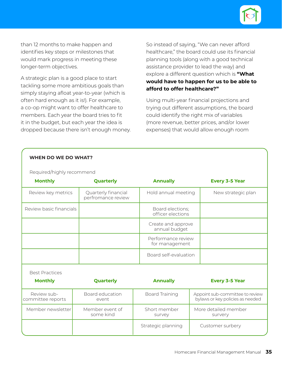

than 12 months to make happen and identifies key steps or milestones that would mark progress in meeting these longer-term objectives.

A strategic plan is a good place to start tackling some more ambitious goals than simply staying afloat year-to-year (which is often hard enough as it is!). For example, a co-op might want to offer healthcare to members. Each year the board tries to fit it in the budget, but each year the idea is dropped because there isn't enough money.

So instead of saying, "We can never afford healthcare," the board could use its financial planning tools (along with a good technical assistance provider to lead the way) and explore a different question which is **"What would have to happen for us to be able to afford to offer healthcare?"** 

Using multi-year financial projections and trying out different assumptions, the board could identify the right mix of variables (more revenue, better prices, and/or lower expenses) that would allow enough room

| <b>WHEN DO WE DO WHAT?</b>       |                                           |  |                                       |                                 |                                                                     |  |  |
|----------------------------------|-------------------------------------------|--|---------------------------------------|---------------------------------|---------------------------------------------------------------------|--|--|
| Required/highly recommend        |                                           |  |                                       |                                 |                                                                     |  |  |
| <b>Monthly</b>                   | Quarterly                                 |  | <b>Annually</b>                       |                                 | <b>Every 3-5 Year</b>                                               |  |  |
| Review key metrics               | Quarterly financial<br>perfromance review |  |                                       | Hold annual meeting             | New strategic plan                                                  |  |  |
| Review basic financials          |                                           |  | Board elections;<br>officer elections |                                 |                                                                     |  |  |
|                                  |                                           |  | Create and approve<br>annual budget   |                                 |                                                                     |  |  |
|                                  |                                           |  | Performance review<br>for management  |                                 |                                                                     |  |  |
|                                  |                                           |  | Board self-evaluation                 |                                 |                                                                     |  |  |
| <b>Best Practices</b>            |                                           |  |                                       |                                 |                                                                     |  |  |
| <b>Monthly</b>                   | Quarterly                                 |  | <b>Annually</b>                       |                                 | <b>Every 3-5 Year</b>                                               |  |  |
| Review sub-<br>committee reports | Board education<br>event                  |  | <b>Board Training</b>                 |                                 | Appoint sub-committee to review<br>bylaws or key policies as needed |  |  |
| Member newsletter                | Member event of<br>some kind              |  | Short member<br>survey                | More detailed member<br>survery |                                                                     |  |  |
|                                  |                                           |  | Strategic planning                    |                                 | Customer surbery                                                    |  |  |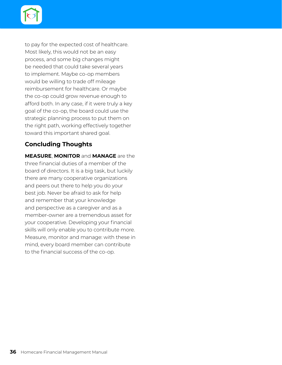

to pay for the expected cost of healthcare. Most likely, this would not be an easy process, and some big changes might be needed that could take several years to implement. Maybe co-op members would be willing to trade off mileage reimbursement for healthcare. Or maybe the co-op could grow revenue enough to afford both. In any case, if it were truly a key goal of the co-op, the board could use the strategic planning process to put them on the right path, working effectively together toward this important shared goal.

# **Concluding Thoughts**

**MEASURE**, **MONITOR** and **MANAGE** are the three financial duties of a member of the board of directors. It is a big task, but luckily there are many cooperative organizations and peers out there to help you do your best job. Never be afraid to ask for help and remember that your knowledge and perspective as a caregiver and as a member-owner are a tremendous asset for your cooperative. Developing your financial skills will only enable you to contribute more. Measure, monitor and manage: with these in mind, every board member can contribute to the financial success of the co-op.